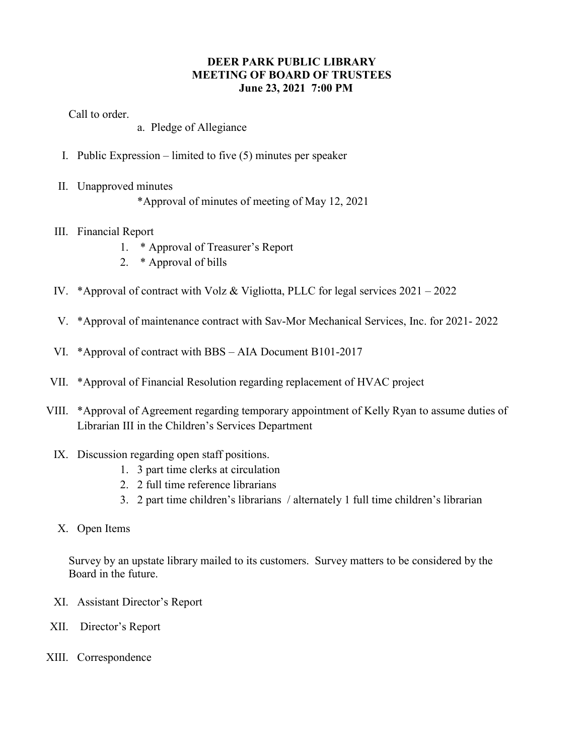## **DEER PARK PUBLIC LIBRARY MEETING OF BOARD OF TRUSTEES June 23, 2021 7:00 PM**

Call to order.

- a. Pledge of Allegiance
- I. Public Expression limited to five (5) minutes per speaker
- II. Unapproved minutes \*Approval of minutes of meeting of May 12, 2021
- III. Financial Report
	- 1. \* Approval of Treasurer's Report
	- 2. \* Approval of bills
- IV. \*Approval of contract with Volz & Vigliotta, PLLC for legal services 2021 2022
- V. \*Approval of maintenance contract with Sav-Mor Mechanical Services, Inc. for 2021- 2022
- VI. \*Approval of contract with BBS AIA Document B101-2017
- VII. \*Approval of Financial Resolution regarding replacement of HVAC project
- VIII. \*Approval of Agreement regarding temporary appointment of Kelly Ryan to assume duties of Librarian III in the Children's Services Department
- IX. Discussion regarding open staff positions.
	- 1. 3 part time clerks at circulation
	- 2. 2 full time reference librarians
	- 3. 2 part time children's librarians / alternately 1 full time children's librarian
- X. Open Items

Survey by an upstate library mailed to its customers. Survey matters to be considered by the Board in the future.

- XI. Assistant Director's Report
- XII. Director's Report
- XIII. Correspondence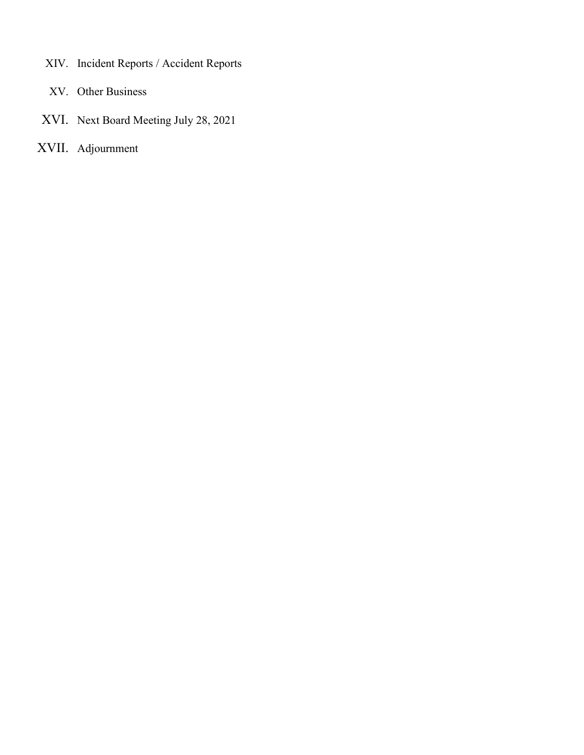- XIV. Incident Reports / Accident Reports
- XV. Other Business
- XVI. Next Board Meeting July 28, 2021
- XVII. Adjournment